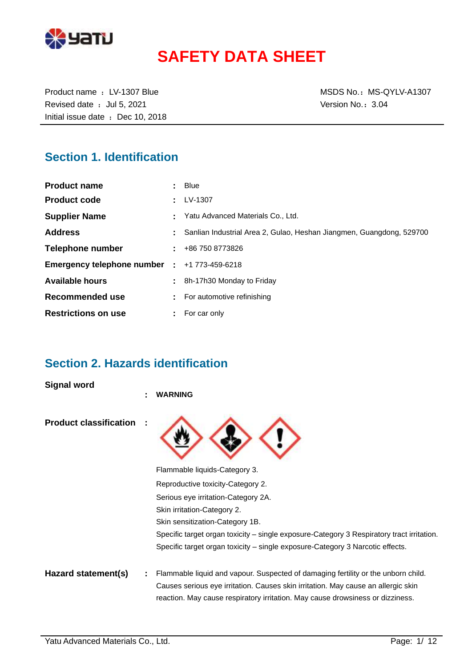

# **SAFETY DATA SHEET**

Revised date : Jul 5, 2021 Case of the Version No.: 3.04 Initial issue date : Dec 10, 2018

Product name : LV-1307 Blue MSDS No.: MS-QYLV-A1307

# **Section 1. Identification**

| <b>Product name</b>                          | Blue                                                                 |
|----------------------------------------------|----------------------------------------------------------------------|
| <b>Product code</b>                          | LV-1307                                                              |
| <b>Supplier Name</b>                         | Yatu Advanced Materials Co., Ltd.                                    |
| <b>Address</b>                               | Sanlian Industrial Area 2, Gulao, Heshan Jiangmen, Guangdong, 529700 |
| Telephone number                             | $\pm 486$ 750 8773826                                                |
| Emergency telephone number : +1 773-459-6218 |                                                                      |
| <b>Available hours</b>                       | 8h-17h30 Monday to Friday                                            |
| Recommended use                              | For automotive refinishing                                           |
| <b>Restrictions on use</b>                   | For car only                                                         |

# **Section 2. Hazards identification**

**Signal word**

|                               | ٠ | <b>WARNING</b>                                                                                                                                                      |
|-------------------------------|---|---------------------------------------------------------------------------------------------------------------------------------------------------------------------|
| <b>Product classification</b> |   |                                                                                                                                                                     |
|                               |   | Flammable liquids-Category 3.                                                                                                                                       |
|                               |   | Reproductive toxicity-Category 2.                                                                                                                                   |
|                               |   | Serious eye irritation-Category 2A.                                                                                                                                 |
|                               |   | Skin irritation-Category 2.                                                                                                                                         |
|                               |   | Skin sensitization-Category 1B.                                                                                                                                     |
|                               |   | Specific target organ toxicity – single exposure-Category 3 Respiratory tract irritation.                                                                           |
|                               |   | Specific target organ toxicity – single exposure-Category 3 Narcotic effects.                                                                                       |
| Hazard statement(s)           |   | Flammable liquid and vapour. Suspected of damaging fertility or the unborn child.                                                                                   |
|                               |   | Causes serious eye irritation. Causes skin irritation. May cause an allergic skin<br>reaction. May cause respiratory irritation. May cause drowsiness or dizziness. |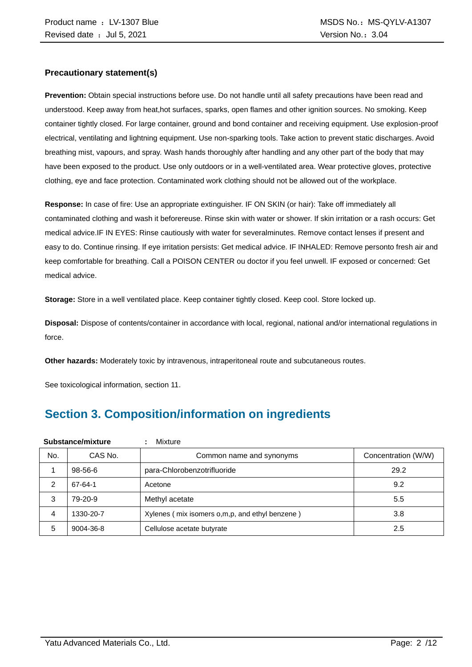#### **Precautionary statement(s)**

**Prevention:** Obtain special instructions before use. Do not handle until all safety precautions have been read and understood. Keep away from heat,hot surfaces, sparks, open flames and other ignition sources. No smoking. Keep container tightly closed. For large container, ground and bond container and receiving equipment. Use explosion-proof electrical, ventilating and lightning equipment. Use non-sparking tools. Take action to prevent static discharges. Avoid breathing mist, vapours, and spray. Wash hands thoroughly after handling and any other part of the body that may have been exposed to the product. Use only outdoors or in a well-ventilated area. Wear protective gloves, protective clothing, eye and face protection. Contaminated work clothing should not be allowed out of the workplace.

**Response:** In case of fire: Use an appropriate extinguisher. IF ON SKIN (or hair): Take off immediately all contaminated clothing and wash it beforereuse. Rinse skin with water or shower. If skin irritation or a rash occurs: Get medical advice.IF IN EYES: Rinse cautiously with water for severalminutes. Remove contact lenses if present and easy to do. Continue rinsing. If eye irritation persists: Get medical advice. IF INHALED: Remove personto fresh air and keep comfortable for breathing. Call a POISON CENTER ou doctor if you feel unwell. IF exposed or concerned: Get medical advice.

**Storage:** Store in a well ventilated place. Keep container tightly closed. Keep cool. Store locked up.

**Disposal:** Dispose of contents/container in accordance with local, regional, national and/or international regulations in force.

**Other hazards:** Moderately toxic by intravenous, intraperitoneal route and subcutaneous routes.

See toxicological information, section 11.

# **Section 3. Composition/information on ingredients**

| Substance/mixture |           | Mixture                                        |                     |
|-------------------|-----------|------------------------------------------------|---------------------|
| No.               | CAS No.   | Common name and synonyms                       | Concentration (W/W) |
|                   | 98-56-6   | para-Chlorobenzotrifluoride                    | 29.2                |
| 2                 | 67-64-1   | Acetone                                        | 9.2                 |
| 3                 | 79-20-9   | Methyl acetate                                 | 5.5                 |
| 4                 | 1330-20-7 | Xylenes (mix isomers o,m,p, and ethyl benzene) | 3.8                 |
| 5                 | 9004-36-8 | Cellulose acetate butyrate                     | 2.5                 |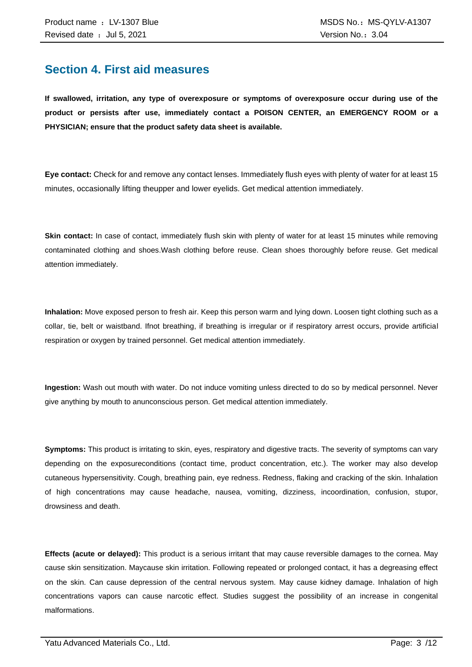### **Section 4. First aid measures**

**If swallowed, irritation, any type of overexposure or symptoms of overexposure occur during use of the product or persists after use, immediately contact a POISON CENTER, an EMERGENCY ROOM or a PHYSICIAN; ensure that the product safety data sheet is available.**

**Eye contact:** Check for and remove any contact lenses. Immediately flush eyes with plenty of water for at least 15 minutes, occasionally lifting theupper and lower eyelids. Get medical attention immediately.

**Skin contact:** In case of contact, immediately flush skin with plenty of water for at least 15 minutes while removing contaminated clothing and shoes.Wash clothing before reuse. Clean shoes thoroughly before reuse. Get medical attention immediately.

**Inhalation:** Move exposed person to fresh air. Keep this person warm and lying down. Loosen tight clothing such as a collar, tie, belt or waistband. Ifnot breathing, if breathing is irregular or if respiratory arrest occurs, provide artificial respiration or oxygen by trained personnel. Get medical attention immediately.

**Ingestion:** Wash out mouth with water. Do not induce vomiting unless directed to do so by medical personnel. Never give anything by mouth to anunconscious person. Get medical attention immediately.

**Symptoms:** This product is irritating to skin, eyes, respiratory and digestive tracts. The severity of symptoms can vary depending on the exposureconditions (contact time, product concentration, etc.). The worker may also develop cutaneous hypersensitivity. Cough, breathing pain, eye redness. Redness, flaking and cracking of the skin. Inhalation of high concentrations may cause headache, nausea, vomiting, dizziness, incoordination, confusion, stupor, drowsiness and death.

**Effects (acute or delayed):** This product is a serious irritant that may cause reversible damages to the cornea. May cause skin sensitization. Maycause skin irritation. Following repeated or prolonged contact, it has a degreasing effect on the skin. Can cause depression of the central nervous system. May cause kidney damage. Inhalation of high concentrations vapors can cause narcotic effect. Studies suggest the possibility of an increase in congenital malformations.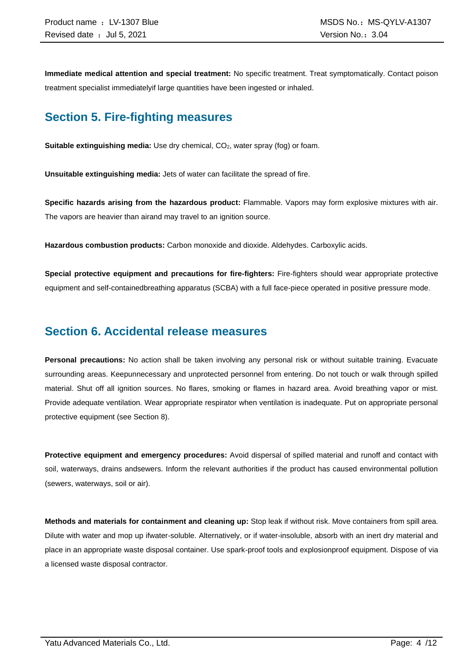**Immediate medical attention and special treatment:** No specific treatment. Treat symptomatically. Contact poison treatment specialist immediatelyif large quantities have been ingested or inhaled.

# **Section 5. Fire-fighting measures**

**Suitable extinguishing media:** Use dry chemical, CO<sub>2</sub>, water spray (fog) or foam.

**Unsuitable extinguishing media:** Jets of water can facilitate the spread of fire.

**Specific hazards arising from the hazardous product:** Flammable. Vapors may form explosive mixtures with air. The vapors are heavier than airand may travel to an ignition source.

**Hazardous combustion products:** Carbon monoxide and dioxide. Aldehydes. Carboxylic acids.

**Special protective equipment and precautions for fire-fighters:** Fire-fighters should wear appropriate protective equipment and self-containedbreathing apparatus (SCBA) with a full face-piece operated in positive pressure mode.

### **Section 6. Accidental release measures**

**Personal precautions:** No action shall be taken involving any personal risk or without suitable training. Evacuate surrounding areas. Keepunnecessary and unprotected personnel from entering. Do not touch or walk through spilled material. Shut off all ignition sources. No flares, smoking or flames in hazard area. Avoid breathing vapor or mist. Provide adequate ventilation. Wear appropriate respirator when ventilation is inadequate. Put on appropriate personal protective equipment (see Section 8).

**Protective equipment and emergency procedures:** Avoid dispersal of spilled material and runoff and contact with soil, waterways, drains andsewers. Inform the relevant authorities if the product has caused environmental pollution (sewers, waterways, soil or air).

**Methods and materials for containment and cleaning up:** Stop leak if without risk. Move containers from spill area. Dilute with water and mop up ifwater-soluble. Alternatively, or if water-insoluble, absorb with an inert dry material and place in an appropriate waste disposal container. Use spark-proof tools and explosionproof equipment. Dispose of via a licensed waste disposal contractor.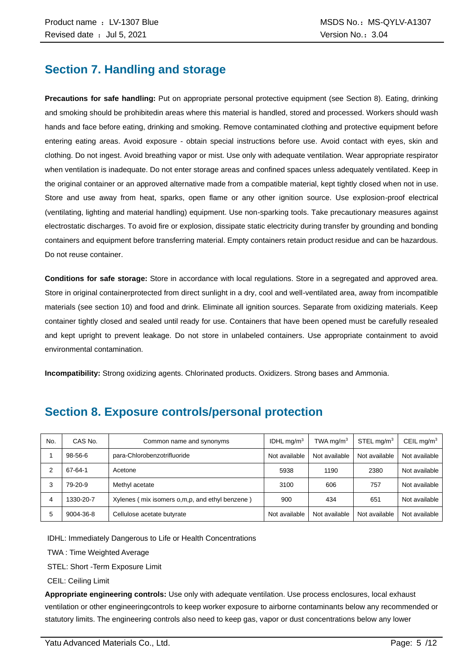# **Section 7. Handling and storage**

**Precautions for safe handling:** Put on appropriate personal protective equipment (see Section 8). Eating, drinking and smoking should be prohibitedin areas where this material is handled, stored and processed. Workers should wash hands and face before eating, drinking and smoking. Remove contaminated clothing and protective equipment before entering eating areas. Avoid exposure - obtain special instructions before use. Avoid contact with eyes, skin and clothing. Do not ingest. Avoid breathing vapor or mist. Use only with adequate ventilation. Wear appropriate respirator when ventilation is inadequate. Do not enter storage areas and confined spaces unless adequately ventilated. Keep in the original container or an approved alternative made from a compatible material, kept tightly closed when not in use. Store and use away from heat, sparks, open flame or any other ignition source. Use explosion-proof electrical (ventilating, lighting and material handling) equipment. Use non-sparking tools. Take precautionary measures against electrostatic discharges. To avoid fire or explosion, dissipate static electricity during transfer by grounding and bonding containers and equipment before transferring material. Empty containers retain product residue and can be hazardous. Do not reuse container.

**Conditions for safe storage:** Store in accordance with local regulations. Store in a segregated and approved area. Store in original containerprotected from direct sunlight in a dry, cool and well-ventilated area, away from incompatible materials (see section 10) and food and drink. Eliminate all ignition sources. Separate from oxidizing materials. Keep container tightly closed and sealed until ready for use. Containers that have been opened must be carefully resealed and kept upright to prevent leakage. Do not store in unlabeled containers. Use appropriate containment to avoid environmental contamination.

**Incompatibility:** Strong oxidizing agents. Chlorinated products. Oxidizers. Strong bases and Ammonia.

| No. | CAS No.   | Common name and synonyms                         | IDHL $mq/m3$  | TWA mg/m $3$  | STEL mg/m <sup>3</sup> | CEIL mg/m <sup>3</sup> |
|-----|-----------|--------------------------------------------------|---------------|---------------|------------------------|------------------------|
|     | 98-56-6   | para-Chlorobenzotrifluoride                      | Not available | Not available | Not available          | Not available          |
|     | 67-64-1   | Acetone                                          | 5938          | 1190          | 2380                   | Not available          |
|     | 79-20-9   | Methyl acetate                                   | 3100          | 606           | 757                    | Not available          |
| 4   | 1330-20-7 | Xylenes (mix isomers o, m, p, and ethyl benzene) | 900           | 434           | 651                    | Not available          |
| 5   | 9004-36-8 | Cellulose acetate butyrate                       | Not available | Not available | Not available          | Not available          |

# **Section 8. Exposure controls/personal protection**

IDHL: Immediately Dangerous to Life or Health Concentrations

TWA : Time Weighted Average

STEL: Short -Term Exposure Limit

CEIL: Ceiling Limit

**Appropriate engineering controls:** Use only with adequate ventilation. Use process enclosures, local exhaust ventilation or other engineeringcontrols to keep worker exposure to airborne contaminants below any recommended or statutory limits. The engineering controls also need to keep gas, vapor or dust concentrations below any lower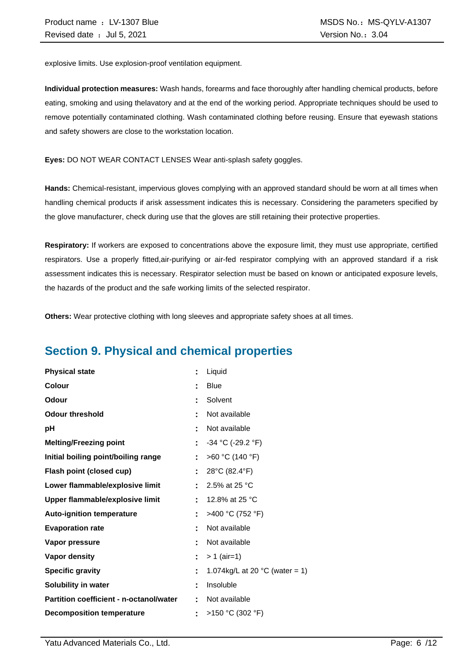explosive limits. Use explosion-proof ventilation equipment.

**Individual protection measures:** Wash hands, forearms and face thoroughly after handling chemical products, before eating, smoking and using thelavatory and at the end of the working period. Appropriate techniques should be used to remove potentially contaminated clothing. Wash contaminated clothing before reusing. Ensure that eyewash stations and safety showers are close to the workstation location.

**Eyes:** DO NOT WEAR CONTACT LENSES Wear anti-splash safety goggles.

**Hands:** Chemical-resistant, impervious gloves complying with an approved standard should be worn at all times when handling chemical products if arisk assessment indicates this is necessary. Considering the parameters specified by the glove manufacturer, check during use that the gloves are still retaining their protective properties.

**Respiratory:** If workers are exposed to concentrations above the exposure limit, they must use appropriate, certified respirators. Use a properly fitted,air-purifying or air-fed respirator complying with an approved standard if a risk assessment indicates this is necessary. Respirator selection must be based on known or anticipated exposure levels, the hazards of the product and the safe working limits of the selected respirator.

**Others:** Wear protective clothing with long sleeves and appropriate safety shoes at all times.

# **Section 9. Physical and chemical properties**

| <b>Physical state</b>                          | ÷  | Liquid                                   |
|------------------------------------------------|----|------------------------------------------|
| <b>Colour</b>                                  |    | <b>Blue</b>                              |
| <b>Odour</b>                                   |    | Solvent                                  |
| <b>Odour threshold</b>                         |    | Not available                            |
| рH                                             |    | Not available                            |
| <b>Melting/Freezing point</b>                  | ÷  | $-34$ °C (-29.2 °F)                      |
| Initial boiling point/boiling range            |    | >60 °C (140 °F)                          |
| Flash point (closed cup)                       | ÷  | 28°C (82.4°F)                            |
| Lower flammable/explosive limit                |    | 2.5% at 25 °C                            |
| Upper flammable/explosive limit                | ÷  | 12.8% at 25 °C                           |
| <b>Auto-ignition temperature</b>               |    | >400 °C (752 °F)                         |
| <b>Evaporation rate</b>                        |    | Not available                            |
| Vapor pressure                                 |    | Not available                            |
| <b>Vapor density</b>                           | ÷. | $> 1$ (air=1)                            |
| <b>Specific gravity</b>                        | ÷  | 1.074kg/L at 20 $^{\circ}$ C (water = 1) |
| Solubility in water                            | ٠  | Insoluble                                |
| <b>Partition coefficient - n-octanol/water</b> |    | Not available                            |
| <b>Decomposition temperature</b>               |    | >150 °C (302 °F)                         |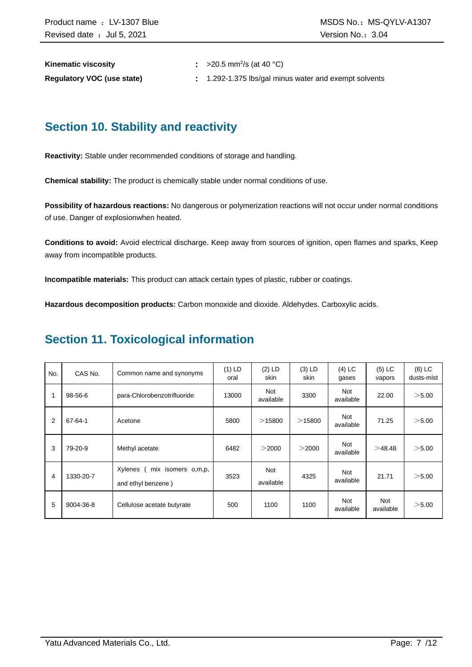| <b>Kinematic viscosity</b>        | $\approx$ >20.5 mm <sup>2</sup> /s (at 40 °C)       |
|-----------------------------------|-----------------------------------------------------|
| <b>Regulatory VOC (use state)</b> | 1.292-1.375 lbs/gal minus water and exempt solvents |

# **Section 10. Stability and reactivity**

**Reactivity:** Stable under recommended conditions of storage and handling.

**Chemical stability:** The product is chemically stable under normal conditions of use.

**Possibility of hazardous reactions:** No dangerous or polymerization reactions will not occur under normal conditions of use. Danger of explosionwhen heated.

**Conditions to avoid:** Avoid electrical discharge. Keep away from sources of ignition, open flames and sparks, Keep away from incompatible products.

**Incompatible materials:** This product can attack certain types of plastic, rubber or coatings.

**Hazardous decomposition products:** Carbon monoxide and dioxide. Aldehydes. Carboxylic acids.

### **Section 11. Toxicological information**

| No. | CAS No.   | Common name and synonyms                            | $(1)$ LD<br>oral | $(2)$ LD<br>skin        | $(3)$ LD<br>skin | $(4)$ LC<br>gases | $(5)$ LC<br>vapors | $(6)$ LC<br>dusts-mist |
|-----|-----------|-----------------------------------------------------|------------------|-------------------------|------------------|-------------------|--------------------|------------------------|
| 1   | 98-56-6   | para-Chlorobenzotrifluoride                         | 13000            | <b>Not</b><br>available | 3300             | Not<br>available  | 22.00              | >5.00                  |
| 2   | 67-64-1   | Acetone                                             | 5800             | >15800                  | $>$ 15800        | Not<br>available  | 71.25              | > 5.00                 |
| 3   | 79-20-9   | Methyl acetate                                      | 6482             | >2000                   | >2000            | Not<br>available  | >48.48             | > 5.00                 |
| 4   | 1330-20-7 | Xylenes<br>mix isomers o,m,p,<br>and ethyl benzene) | 3523             | <b>Not</b><br>available | 4325             | Not<br>available  | 21.71              | > 5.00                 |
| 5   | 9004-36-8 | Cellulose acetate butyrate                          | 500              | 1100                    | 1100             | Not<br>available  | Not<br>available   | > 5.00                 |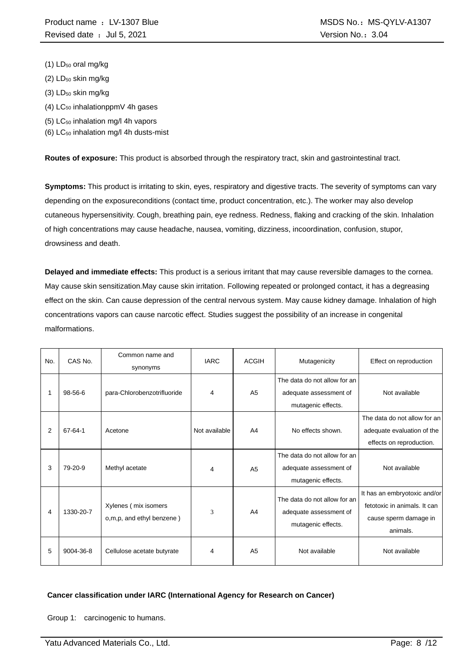- (1) LD<sub>50</sub> oral mg/kg
- $(2)$  LD<sub>50</sub> skin mg/kg
- (3) LD<sub>50</sub> skin mg/kg
- $(4)$  LC<sub>50</sub> inhalationppmV 4h gases
- (5) LC<sup>50</sup> inhalation mg/l 4h vapors
- (6)  $LC_{50}$  inhalation mg/l 4h dusts-mist

**Routes of exposure:** This product is absorbed through the respiratory tract, skin and gastrointestinal tract.

**Symptoms:** This product is irritating to skin, eyes, respiratory and digestive tracts. The severity of symptoms can vary depending on the exposureconditions (contact time, product concentration, etc.). The worker may also develop cutaneous hypersensitivity. Cough, breathing pain, eye redness. Redness, flaking and cracking of the skin. Inhalation of high concentrations may cause headache, nausea, vomiting, dizziness, incoordination, confusion, stupor, drowsiness and death.

**Delayed and immediate effects:** This product is a serious irritant that may cause reversible damages to the cornea. May cause skin sensitization.May cause skin irritation. Following repeated or prolonged contact, it has a degreasing effect on the skin. Can cause depression of the central nervous system. May cause kidney damage. Inhalation of high concentrations vapors can cause narcotic effect. Studies suggest the possibility of an increase in congenital malformations.

| No. | CAS No.   | Common name and<br>synonyms                       | <b>IARC</b>   | <b>ACGIH</b>   | Mutagenicity                                                                 | Effect on reproduction                                                                            |
|-----|-----------|---------------------------------------------------|---------------|----------------|------------------------------------------------------------------------------|---------------------------------------------------------------------------------------------------|
|     | 98-56-6   | para-Chlorobenzotrifluoride                       | 4             | A <sub>5</sub> | The data do not allow for an<br>adequate assessment of<br>mutagenic effects. | Not available                                                                                     |
| 2   | 67-64-1   | Acetone                                           | Not available | A <sub>4</sub> | No effects shown.                                                            | The data do not allow for an<br>adequate evaluation of the<br>effects on reproduction.            |
| 3   | 79-20-9   | Methyl acetate                                    | 4             | A <sub>5</sub> | The data do not allow for an<br>adequate assessment of<br>mutagenic effects. | Not available                                                                                     |
| 4   | 1330-20-7 | Xylenes (mix isomers<br>o,m,p, and ethyl benzene) | 3             | A <sub>4</sub> | The data do not allow for an<br>adequate assessment of<br>mutagenic effects. | It has an embryotoxic and/or<br>fetotoxic in animals. It can<br>cause sperm damage in<br>animals. |
| 5   | 9004-36-8 | Cellulose acetate butyrate                        | 4             | A <sub>5</sub> | Not available                                                                | Not available                                                                                     |

#### **Cancer classification under IARC (International Agency for Research on Cancer)**

Group 1: carcinogenic to humans.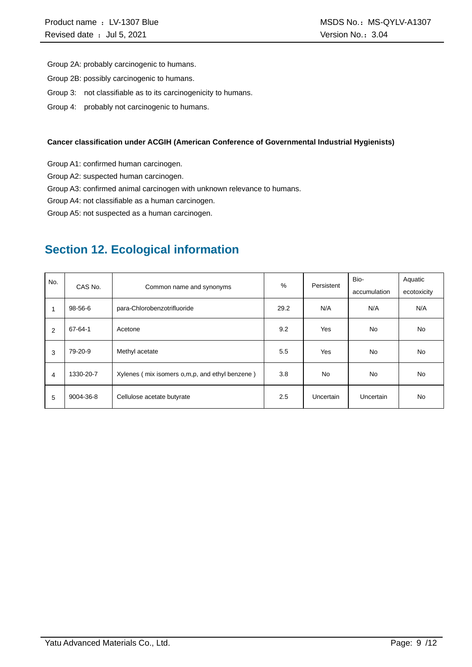Group 2A: probably carcinogenic to humans.

- Group 2B: possibly carcinogenic to humans.
- Group 3: not classifiable as to its carcinogenicity to humans.
- Group 4: probably not carcinogenic to humans.

#### **Cancer classification under ACGIH (American Conference of Governmental Industrial Hygienists)**

Group A1: confirmed human carcinogen.

Group A2: suspected human carcinogen.

Group A3: confirmed animal carcinogen with unknown relevance to humans.

Group A4: not classifiable as a human carcinogen.

Group A5: not suspected as a human carcinogen.

# **Section 12. Ecological information**

| No.            | CAS No.   | Common name and synonyms                         | %    | Persistent | Bio-<br>accumulation | Aquatic<br>ecotoxicity |
|----------------|-----------|--------------------------------------------------|------|------------|----------------------|------------------------|
| 1              | 98-56-6   | para-Chlorobenzotrifluoride                      | 29.2 | N/A        | N/A                  | N/A                    |
| 2              | 67-64-1   | Acetone                                          | 9.2  | Yes        | No                   | No.                    |
| 3              | 79-20-9   | Methyl acetate                                   | 5.5  | Yes        | <b>No</b>            | No.                    |
| $\overline{4}$ | 1330-20-7 | Xylenes (mix isomers o, m, p, and ethyl benzene) | 3.8  | <b>No</b>  | <b>No</b>            | <b>No</b>              |
| 5              | 9004-36-8 | Cellulose acetate butyrate                       | 2.5  | Uncertain  | Uncertain            | No.                    |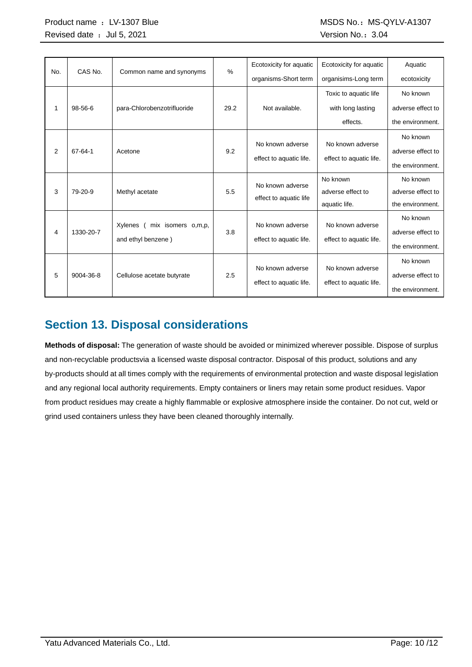| No. | CAS No.   | Common name and synonyms      | $\%$ | Ecotoxicity for aquatic | Ecotoxicity for aquatic | Aquatic           |
|-----|-----------|-------------------------------|------|-------------------------|-------------------------|-------------------|
|     |           |                               |      | organisms-Short term    | organisims-Long term    | ecotoxicity       |
|     |           |                               |      |                         | Toxic to aquatic life   | No known          |
| 1   | 98-56-6   | para-Chlorobenzotrifluoride   | 29.2 | Not available.          | with long lasting       | adverse effect to |
|     |           |                               |      |                         | effects.                | the environment.  |
|     |           |                               |      |                         |                         | No known          |
| 2   | 67-64-1   | Acetone                       | 9.2  | No known adverse        | No known adverse        | adverse effect to |
|     |           |                               |      | effect to aquatic life. | effect to aquatic life. | the environment.  |
|     |           |                               |      | No known adverse        | No known                | No known          |
| 3   | 79-20-9   | Methyl acetate                | 5.5  | effect to aquatic life  | adverse effect to       | adverse effect to |
|     |           |                               |      |                         | aquatic life.           | the environment.  |
|     |           |                               |      |                         |                         | No known          |
| 4   | 1330-20-7 | Xylenes<br>mix isomers o,m,p, | 3.8  | No known adverse        | No known adverse        | adverse effect to |
|     |           | and ethyl benzene)            |      | effect to aquatic life. | effect to aquatic life. | the environment.  |
|     |           |                               |      |                         |                         | No known          |
| 5   | 9004-36-8 | Cellulose acetate butyrate    | 2.5  | No known adverse        | No known adverse        | adverse effect to |
|     |           |                               |      | effect to aquatic life. | effect to aquatic life. | the environment.  |

# **Section 13. Disposal considerations**

**Methods of disposal:** The generation of waste should be avoided or minimized wherever possible. Dispose of surplus and non-recyclable productsvia a licensed waste disposal contractor. Disposal of this product, solutions and any by-products should at all times comply with the requirements of environmental protection and waste disposal legislation and any regional local authority requirements. Empty containers or liners may retain some product residues. Vapor from product residues may create a highly flammable or explosive atmosphere inside the container. Do not cut, weld or grind used containers unless they have been cleaned thoroughly internally.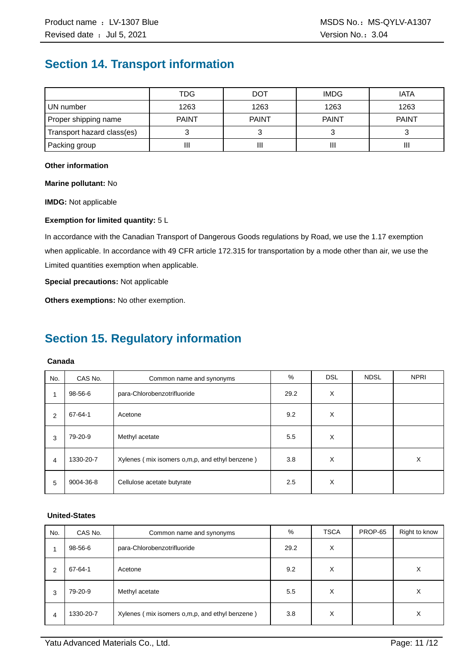# **Section 14. Transport information**

|                            | TDG          | <b>DOT</b>   | <b>IMDG</b>  | <b>IATA</b>  |
|----------------------------|--------------|--------------|--------------|--------------|
| UN number                  | 1263         | 1263         | 1263         | 1263         |
| Proper shipping name       | <b>PAINT</b> | <b>PAINT</b> | <b>PAINT</b> | <b>PAINT</b> |
| Transport hazard class(es) |              |              |              |              |
| Packing group              | Ш            | Ш            | Ш            | Ш            |

#### **Other information**

**Marine pollutant:** No

**IMDG:** Not applicable

#### **Exemption for limited quantity:** 5 L

In accordance with the Canadian Transport of Dangerous Goods regulations by Road, we use the 1.17 exemption when applicable. In accordance with 49 CFR article 172.315 for transportation by a mode other than air, we use the Limited quantities exemption when applicable.

**Special precautions:** Not applicable

**Others exemptions:** No other exemption.

# **Section 15. Regulatory information**

#### **Canada**

| No.            | CAS No.   | Common name and synonyms                       | %    | <b>DSL</b> | <b>NDSL</b> | <b>NPRI</b> |
|----------------|-----------|------------------------------------------------|------|------------|-------------|-------------|
| 1              | 98-56-6   | para-Chlorobenzotrifluoride                    | 29.2 | X          |             |             |
| 2              | 67-64-1   | Acetone                                        | 9.2  | X          |             |             |
| 3              | 79-20-9   | Methyl acetate                                 | 5.5  | X          |             |             |
| $\overline{4}$ | 1330-20-7 | Xylenes (mix isomers o,m,p, and ethyl benzene) | 3.8  | X          |             | X           |
| 5              | 9004-36-8 | Cellulose acetate butyrate                     | 2.5  | X          |             |             |

#### **United-States**

| No. | CAS No.   | Common name and synonyms                       | %    | <b>TSCA</b> | PROP-65 | Right to know |
|-----|-----------|------------------------------------------------|------|-------------|---------|---------------|
|     | 98-56-6   | para-Chlorobenzotrifluoride                    | 29.2 | X           |         |               |
| 2   | 67-64-1   | Acetone                                        | 9.2  | X           |         | X             |
| 3   | 79-20-9   | Methyl acetate                                 | 5.5  | X           |         | х             |
| 4   | 1330-20-7 | Xylenes (mix isomers o,m,p, and ethyl benzene) | 3.8  | X           |         | X             |